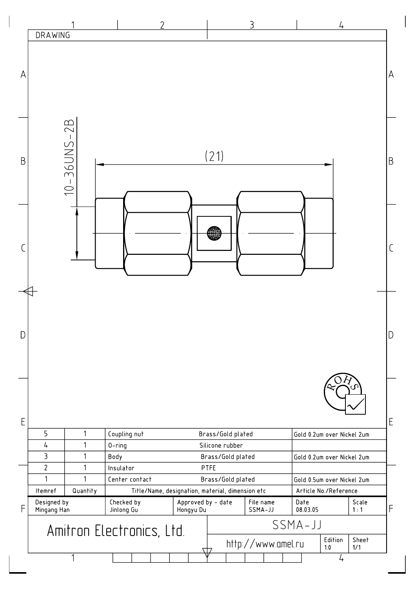